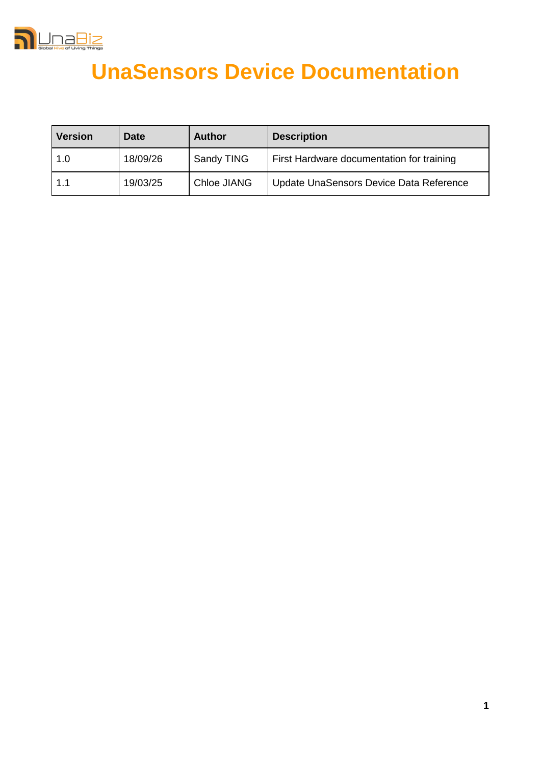

# **UnaSensors Device Documentation**

| <b>Version</b> | Date     | <b>Author</b> | <b>Description</b>                        |
|----------------|----------|---------------|-------------------------------------------|
| 1.0            | 18/09/26 | Sandy TING    | First Hardware documentation for training |
| 1.1            | 19/03/25 | Chloe JIANG   | Update UnaSensors Device Data Reference   |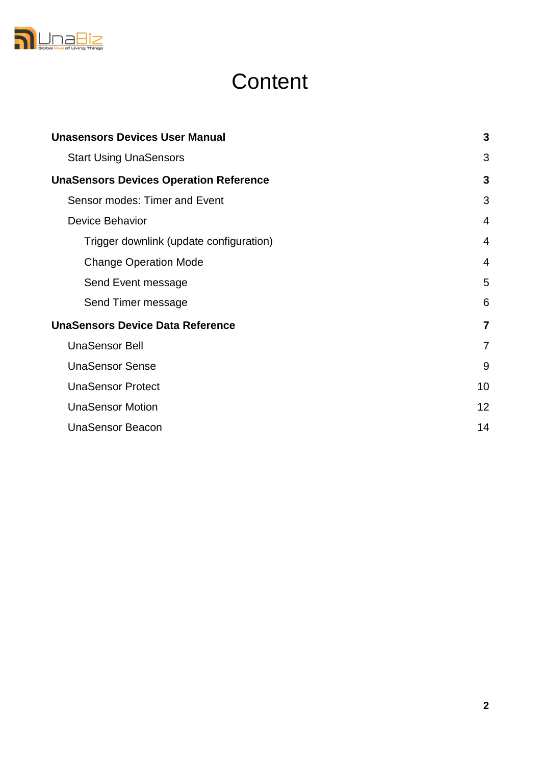

# **Content**

| <b>Unasensors Devices User Manual</b>         |                |
|-----------------------------------------------|----------------|
| <b>Start Using UnaSensors</b>                 | 3              |
| <b>UnaSensors Devices Operation Reference</b> | $\mathbf{3}$   |
| Sensor modes: Timer and Event                 | 3              |
| Device Behavior                               | $\overline{4}$ |
| Trigger downlink (update configuration)       | $\overline{4}$ |
| <b>Change Operation Mode</b>                  | $\overline{4}$ |
| Send Event message                            | 5              |
| Send Timer message                            | 6              |
| <b>UnaSensors Device Data Reference</b>       | $\overline{7}$ |
| <b>UnaSensor Bell</b>                         | $\overline{7}$ |
| <b>UnaSensor Sense</b>                        | 9              |
| <b>UnaSensor Protect</b>                      | 10             |
| <b>UnaSensor Motion</b>                       | 12             |
| <b>UnaSensor Beacon</b>                       | 14             |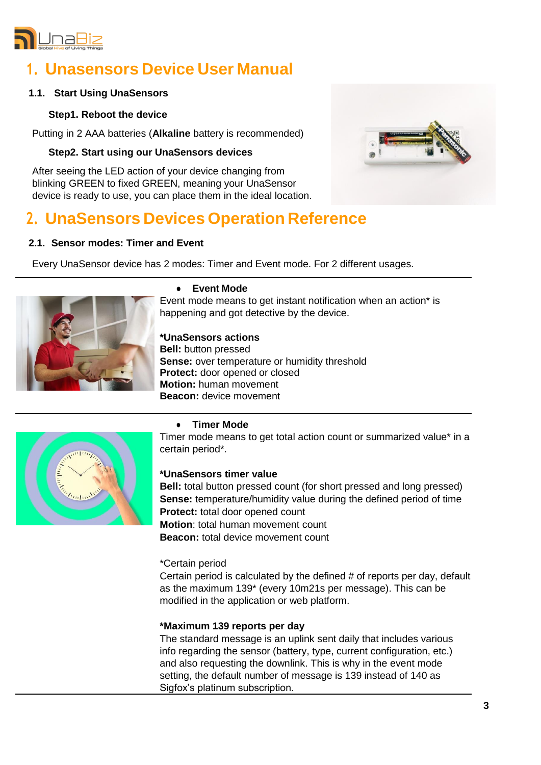

# **1. Unasensors Device User Manual**

# **1.1. Start Using UnaSensors**

# **Step1. Reboot the device**

Putting in 2 AAA batteries (**Alkaline** battery is recommended)

# **Step2. Start using our UnaSensors devices**

After seeing the LED action of your device changing from blinking GREEN to fixed GREEN, meaning your UnaSensor device is ready to use, you can place them in the ideal location.

# **2. UnaSensors Devices Operation Reference**

# **2.1. Sensor modes: Timer and Event**

Every UnaSensor device has 2 modes: Timer and Event mode. For 2 different usages.



#### **● Event Mode**

Event mode means to get instant notification when an action\* is happening and got detective by the device.

# **\*UnaSensors actions**

**Bell:** button pressed **Sense:** over temperature or humidity threshold **Protect:** door opened or closed **Motion:** human movement **Beacon:** device movement



# **● Timer Mode**

Timer mode means to get total action count or summarized value\* in a certain period\*.

# **\*UnaSensors timer value**

**Bell:** total button pressed count (for short pressed and long pressed) **Sense:** temperature/humidity value during the defined period of time **Protect:** total door opened count **Motion**: total human movement count **Beacon:** total device movement count

#### \*Certain period

Certain period is calculated by the defined # of reports per day, default as the maximum 139\* (every 10m21s per message). This can be modified in the application or web platform.

# **\*Maximum 139 reports per day**

The standard message is an uplink sent daily that includes various info regarding the sensor (battery, type, current configuration, etc.) and also requesting the downlink. This is why in the event mode setting, the default number of message is 139 instead of 140 as Sigfox's platinum subscription.

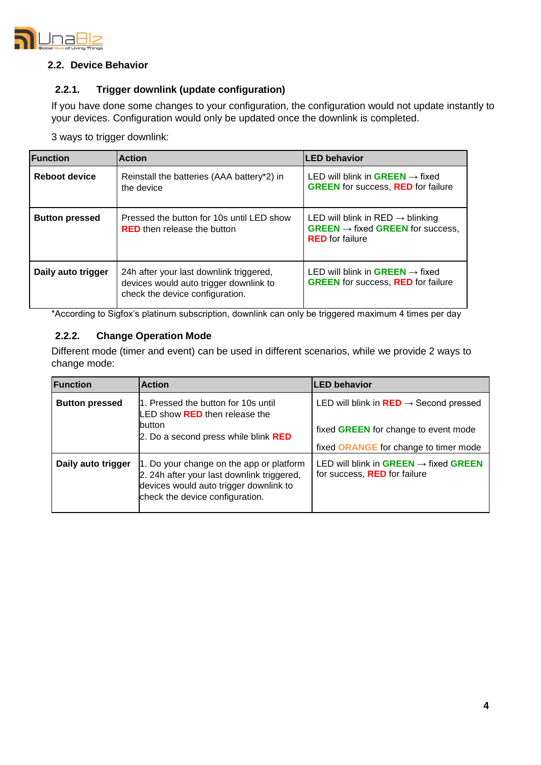

## **2.2. Device Behavior**

# **2.2.1. Trigger downlink (update configuration)**

If you have done some changes to your configuration, the configuration would not update instantly to your devices. Configuration would only be updated once the downlink is completed.

3 ways to trigger downlink:

| <b>Function</b>       | <b>Action</b>                                                                                                        | <b>LED behavior</b>                                                                                                    |
|-----------------------|----------------------------------------------------------------------------------------------------------------------|------------------------------------------------------------------------------------------------------------------------|
| <b>Reboot device</b>  | Reinstall the batteries (AAA battery*2) in<br>the device                                                             | LED will blink in <b>GREEN</b> $\rightarrow$ fixed<br><b>GREEN</b> for success, <b>RED</b> for failure                 |
| <b>Button pressed</b> | Pressed the button for 10s until LED show<br><b>RED</b> then release the button                                      | LED will blink in RED $\rightarrow$ blinking<br>$GREEN \rightarrow fixed GREEN$ for success,<br><b>RED</b> for failure |
| Daily auto trigger    | 24h after your last downlink triggered,<br>devices would auto trigger downlink to<br>check the device configuration. | LED will blink in <b>GREEN</b> $\rightarrow$ fixed<br><b>GREEN</b> for success, <b>RED</b> for failure                 |

\*According to Sigfox's platinum subscription, downlink can only be triggered maximum 4 times per day

# **2.2.2. Change Operation Mode**

Different mode (timer and event) can be used in different scenarios, while we provide 2 ways to change mode:

| <b>Function</b>       | <b>Action</b>                                                                                                                                                       | <b>LED behavior</b>                                                                      |
|-----------------------|---------------------------------------------------------------------------------------------------------------------------------------------------------------------|------------------------------------------------------------------------------------------|
| <b>Button pressed</b> | 1. Pressed the button for 10s until<br>LED show RED then release the                                                                                                | LED will blink in $RED \rightarrow$ Second pressed                                       |
|                       | <b>button</b><br>2. Do a second press while blink RED                                                                                                               | fixed GREEN for change to event mode<br>fixed ORANGE for change to timer mode            |
| Daily auto trigger    | 1. Do your change on the app or platform<br>2. 24h after your last downlink triggered,<br>devices would auto trigger downlink to<br>check the device configuration. | LED will blink in GREEN $\rightarrow$ fixed GREEN<br>for success, <b>RED</b> for failure |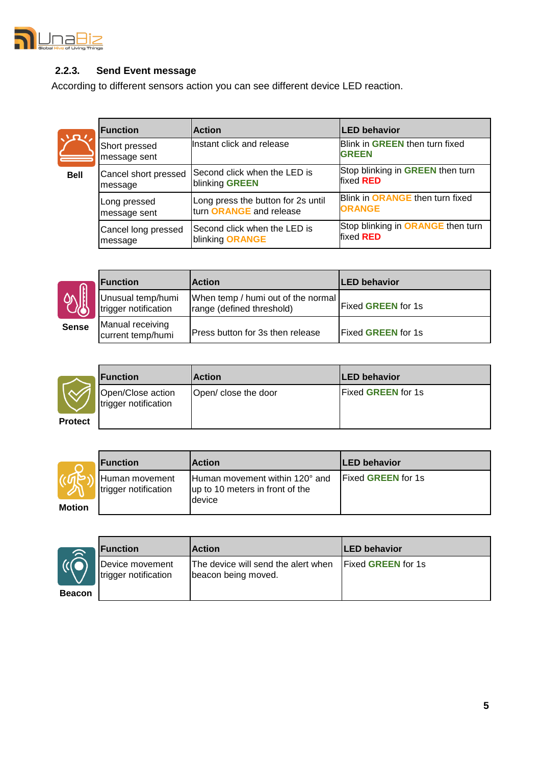

# **2.2.3. Send Event message**

According to different sensors action you can see different device LED reaction.

|             | <b>Function</b>               | <b>Action</b>                      | <b>LED behavior</b>                            |
|-------------|-------------------------------|------------------------------------|------------------------------------------------|
|             | Short pressed<br>message sent | Instant click and release          | Blink in GREEN then turn fixed<br><b>GREEN</b> |
| <b>Bell</b> | Cancel short pressed          | Second click when the LED is       | Stop blinking in GREEN then turn               |
|             | message                       | blinking GREEN                     | fixed <b>RED</b>                               |
|             | Long pressed                  | Long press the button for 2s until | Blink in ORANGE then turn fixed                |
|             | message sent                  | turn ORANGE and release            | <b>ORANGE</b>                                  |
|             | Cancel long pressed           | Second click when the LED is       | Stop blinking in ORANGE then turn              |
|             | message                       | blinking ORANGE                    | fixed <b>RED</b>                               |



Г

|            | <b>Function</b>                           | <b>Action</b>                                                     | <b>LED</b> behavior       |
|------------|-------------------------------------------|-------------------------------------------------------------------|---------------------------|
|            | Unusual temp/humi<br>lrigger notification | When temp / humi out of the normal  <br>range (defined threshold) | <b>Fixed GREEN for 1s</b> |
| <b>ise</b> | Manual receiving<br>current temp/humi     | Press button for 3s then release                                  | <b>Fixed GREEN for 1s</b> |

|                | <b>Function</b>                           | <b>Action</b>        | <b>LED behavior</b>        |
|----------------|-------------------------------------------|----------------------|----------------------------|
|                | Open/Close action<br>trigger notification | Open/ close the door | <b>IFixed GREEN for 1s</b> |
| <b>Protect</b> |                                           |                      |                            |

|               | <b>IFunction</b>                        | <b>Action</b>                                                     | <b>ILED behavior</b>      |
|---------------|-----------------------------------------|-------------------------------------------------------------------|---------------------------|
|               | Human movement<br>ltrigger notification | Human movement within 120° and<br>up to 10 meters in front of the | <b>Fixed GREEN for 1s</b> |
| <b>Motion</b> |                                         | <b>device</b>                                                     |                           |



|    | <b>Function</b>                          | <b>Action</b>                                              | <b>ILED behavior</b>       |
|----|------------------------------------------|------------------------------------------------------------|----------------------------|
|    | Device movement<br>Irrigger notification | The device will send the alert when<br>beacon being moved. | <b>IFixed GREEN for 1s</b> |
| on |                                          |                                                            |                            |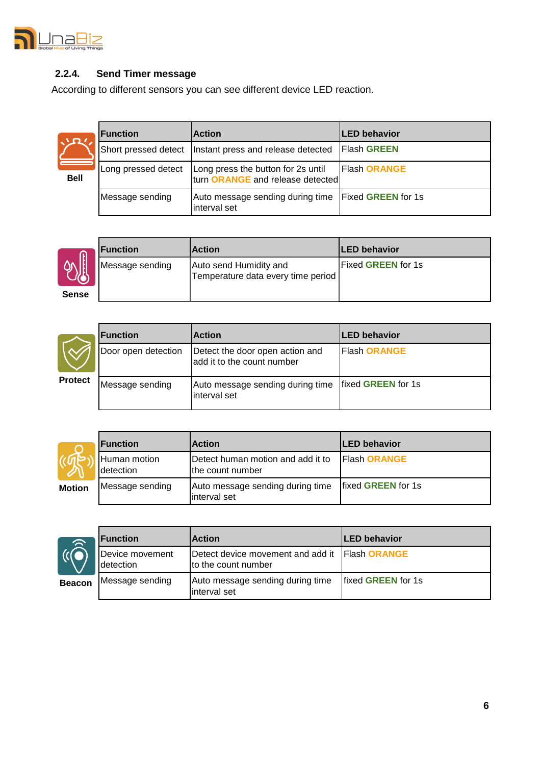

# **2.2.4. Send Timer message**

According to different sensors you can see different device LED reaction.

| <b>Bell</b> |  |
|-------------|--|

Г

| <b>IFunction</b>    | <b>Action</b>                                                          | <b>LED behavior</b> |
|---------------------|------------------------------------------------------------------------|---------------------|
|                     | Short pressed detect   Instant press and release detected              | <b>Flash GREEN</b>  |
| Long pressed detect | Long press the button for 2s until<br>turn ORANGE and release detected | Flash ORANGE        |
| Message sending     | Auto message sending during time Fixed GREEN for 1s<br>interval set    |                     |



|      | <b>Function</b> | <b>Action</b>                                                | <b>ILED behavior</b>       |
|------|-----------------|--------------------------------------------------------------|----------------------------|
|      | Message sending | Auto send Humidity and<br>Temperature data every time period | lFixed <b>GREEN</b> for 1s |
| ense |                 |                                                              |                            |

|                | <b>IFunction</b>    | <b>Action</b>                                                 | <b>ILED behavior</b>       |
|----------------|---------------------|---------------------------------------------------------------|----------------------------|
| <b>Protect</b> | Door open detection | Detect the door open action and<br>add it to the count number | <b>Flash ORANGE</b>        |
|                | Message sending     | Auto message sending during time<br>interval set              | <b>Ifixed GREEN for 1s</b> |

|               | <b>Function</b>                    | <b>Action</b>                                         | <b>ILED behavior</b> |
|---------------|------------------------------------|-------------------------------------------------------|----------------------|
|               | Human motion<br><b>I</b> detection | Detect human motion and add it to<br>the count number | <b>Flash ORANGE</b>  |
| <b>Motion</b> | Message sending                    | Auto message sending during time<br>interval set      | fixed GREEN for 1s   |



|    | <b>IFunction</b>             | <b>Action</b>                                                         | <b>ILED behavior</b>       |
|----|------------------------------|-----------------------------------------------------------------------|----------------------------|
|    | Device movement<br>detection | Detect device movement and add it Flash ORANGE<br>to the count number |                            |
| on | Message sending              | Auto message sending during time<br>interval set                      | <b>Ifixed GREEN for 1s</b> |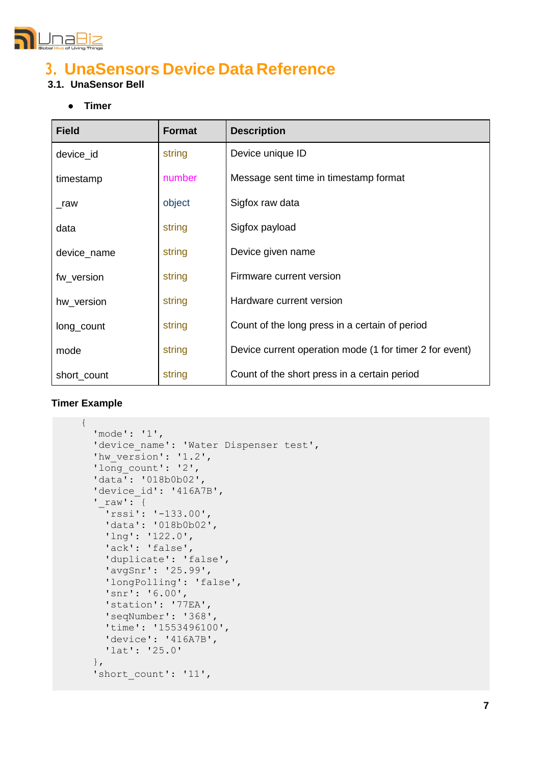

# **3. UnaSensors Device Data Reference**

# **3.1. UnaSensor Bell**

**● Timer**

| <b>Field</b> | <b>Format</b> | <b>Description</b>                                      |
|--------------|---------------|---------------------------------------------------------|
| device_id    | string        | Device unique ID                                        |
| timestamp    | number        | Message sent time in timestamp format                   |
| _raw         | object        | Sigfox raw data                                         |
| data         | string        | Sigfox payload                                          |
| device_name  | string        | Device given name                                       |
| fw version   | string        | Firmware current version                                |
| hw version   | string        | Hardware current version                                |
| long_count   | string        | Count of the long press in a certain of period          |
| mode         | string        | Device current operation mode (1 for timer 2 for event) |
| short_count  | string        | Count of the short press in a certain period            |

```
{
   'mode': '1',
  'device name': 'Water Dispenser test',
  'hw_version': '1.2',
  'long count': '2',
   'data': '018b0b02',
  'device id': '416A7B',
  'raw': {
    'rssi': '-133.00',
     'data': '018b0b02',
     'lng': '122.0',
     'ack': 'false',
     'duplicate': 'false',
     'avgSnr': '25.99',
     'longPolling': 'false',
     'snr': '6.00',
     'station': '77EA',
     'seqNumber': '368',
     'time': '1553496100',
     'device': '416A7B',
     'lat': '25.0'
   },
  'short count': '11',
```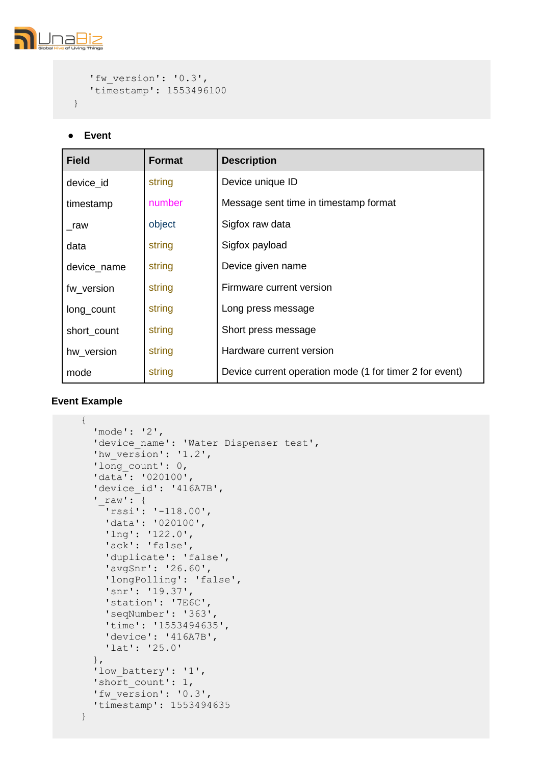

```
 'fw_version': '0.3',
    'timestamp': 1553496100
}
```
# **● Event**

| <b>Field</b> | <b>Format</b> | <b>Description</b>                                      |
|--------------|---------------|---------------------------------------------------------|
| device id    | string        | Device unique ID                                        |
| timestamp    | number        | Message sent time in timestamp format                   |
| _raw         | object        | Sigfox raw data                                         |
| data         | string        | Sigfox payload                                          |
| device_name  | string        | Device given name                                       |
| fw version   | string        | Firmware current version                                |
| long_count   | string        | Long press message                                      |
| short_count  | string        | Short press message                                     |
| hw_version   | string        | Hardware current version                                |
| mode         | string        | Device current operation mode (1 for timer 2 for event) |

```
{
   'mode': '2',
  'device name': 'Water Dispenser test',
   'hw_version': '1.2',
  'long count': 0,
   'data': '020100',
  'device id': '416A7B',
  '\supseteq \text{raw'}: {
     'rssi': '-118.00',
     'data': '020100',
     'lng': '122.0',
     'ack': 'false',
     'duplicate': 'false',
     'avgSnr': '26.60',
     'longPolling': 'false',
     'snr': '19.37',
     'station': '7E6C',
     'seqNumber': '363',
     'time': '1553494635',
     'device': '416A7B',
     'lat': '25.0'
   },
  'low battery': '1',
   'short_count': 1,
   'fw_version': '0.3',
   'timestamp': 1553494635
}
```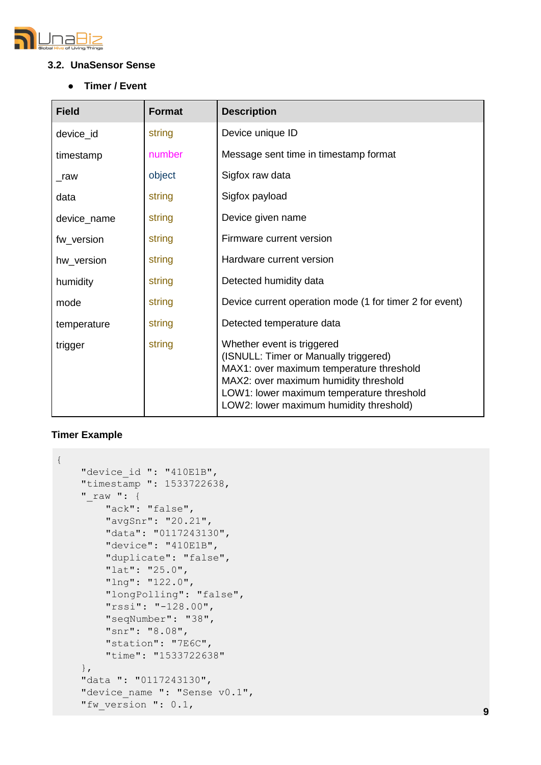

# **3.2. UnaSensor Sense**

**● Timer / Event**

| <b>Field</b> | <b>Format</b> | <b>Description</b>                                                                                                                                                                                                                               |
|--------------|---------------|--------------------------------------------------------------------------------------------------------------------------------------------------------------------------------------------------------------------------------------------------|
| device_id    | string        | Device unique ID                                                                                                                                                                                                                                 |
| timestamp    | number        | Message sent time in timestamp format                                                                                                                                                                                                            |
| $_{\_}raw$   | object        | Sigfox raw data                                                                                                                                                                                                                                  |
| data         | string        | Sigfox payload                                                                                                                                                                                                                                   |
| device_name  | string        | Device given name                                                                                                                                                                                                                                |
| fw_version   | string        | Firmware current version                                                                                                                                                                                                                         |
| hw_version   | string        | Hardware current version                                                                                                                                                                                                                         |
| humidity     | string        | Detected humidity data                                                                                                                                                                                                                           |
| mode         | string        | Device current operation mode (1 for timer 2 for event)                                                                                                                                                                                          |
| temperature  | string        | Detected temperature data                                                                                                                                                                                                                        |
| trigger      | string        | Whether event is triggered<br>(ISNULL: Timer or Manually triggered)<br>MAX1: over maximum temperature threshold<br>MAX2: over maximum humidity threshold<br>LOW1: lower maximum temperature threshold<br>LOW2: lower maximum humidity threshold) |

```
"device_id ": "410E1B", 
    "timestamp ": 1533722638, 
    "_raw ": {
        "ack": "false",
        "avgSnr": "20.21",
        "data": "0117243130",
        "device": "410E1B", 
        "duplicate": "false", 
        "lat": "25.0",
        "lng": "122.0",
        "longPolling": "false", 
        "rssi": "-128.00",
        "seqNumber": "38",
        "snr": "8.08",
        "station": "7E6C", 
        "time": "1533722638"
    },
    "data ": "0117243130",
    "device_name ": "Sense v0.1", 
    "fw version ": 0.1,
{
```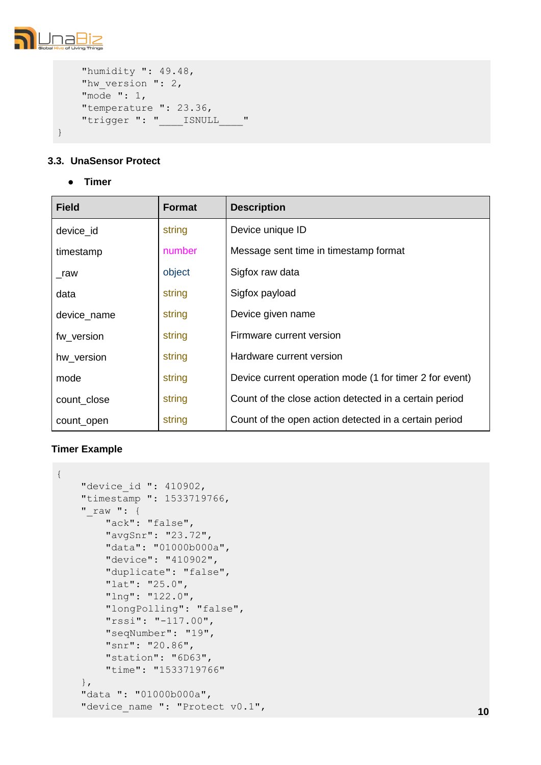

```
"humidity ": 49.48,
    "hw version ": 2,
    "mode ": 1,
    "temperature ": 23.36, 
    "trigger ": " _______ ISNULL ___ "
}
```
# **3.3. UnaSensor Protect**

**● Timer**

| <b>Field</b> | Format | <b>Description</b>                                      |
|--------------|--------|---------------------------------------------------------|
| device id    | string | Device unique ID                                        |
| timestamp    | number | Message sent time in timestamp format                   |
| $\_raw$      | object | Sigfox raw data                                         |
| data         | string | Sigfox payload                                          |
| device_name  | string | Device given name                                       |
| fw version   | string | Firmware current version                                |
| hw version   | string | Hardware current version                                |
| mode         | string | Device current operation mode (1 for timer 2 for event) |
| count close  | string | Count of the close action detected in a certain period  |
| count_open   | string | Count of the open action detected in a certain period   |

```
"device id ": 410902,
    "timestamp ": 1533719766, 
    "_raw ": {
        "ack": "false",
        "avgSnr": "23.72", 
        "data": "01000b000a", 
        "device": "410902", 
        "duplicate": "false", 
        "lat": "25.0",
        "lng": "122.0",
        "longPolling": "false", 
        "rssi": "-117.00",
        "seqNumber": "19",
        "snr": "20.86",
        "station": "6D63", 
        "time": "1533719766"
    },
    "data ": "01000b000a",
    "device name ": "Protect v0.1",
{
```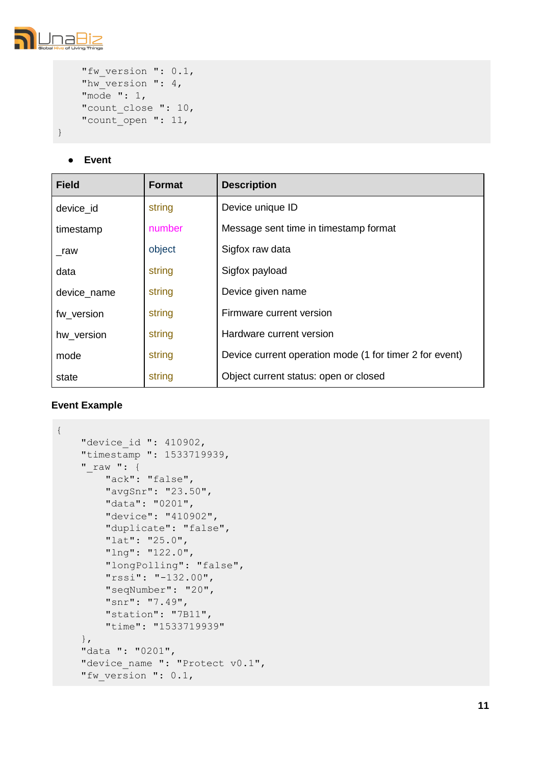

```
"fw_version ": 0.1,
"hw version ": 4,
"mode ": 1,
"count close ": 10,
"count_open ": 11,
```
# **● Event**

| <b>Field</b> | <b>Format</b> | <b>Description</b>                                      |
|--------------|---------------|---------------------------------------------------------|
| device_id    | string        | Device unique ID                                        |
| timestamp    | number        | Message sent time in timestamp format                   |
| raw          | object        | Sigfox raw data                                         |
| data         | string        | Sigfox payload                                          |
| device_name  | string        | Device given name                                       |
| fw version   | string        | Firmware current version                                |
| hw_version   | string        | Hardware current version                                |
| mode         | string        | Device current operation mode (1 for timer 2 for event) |
| state        | string        | Object current status: open or closed                   |

```
{
    "device_id ": 410902,
    "timestamp ": 1533719939, 
    "_raw ": {
        "ack": "false",
        "avgSnr": "23.50",
        "data": "0201",
        "device": "410902", 
        "duplicate": "false", 
        "lat": "25.0",
        "lng": "122.0",
        "longPolling": "false", 
        "rssi": "-132.00",
        "seqNumber": "20",
        "snr": "7.49",
        "station": "7B11", 
        "time": "1533719939"
    },
    "data ": "0201",
    "device_name ": "Protect v0.1", 
    "fw version ": 0.1,
```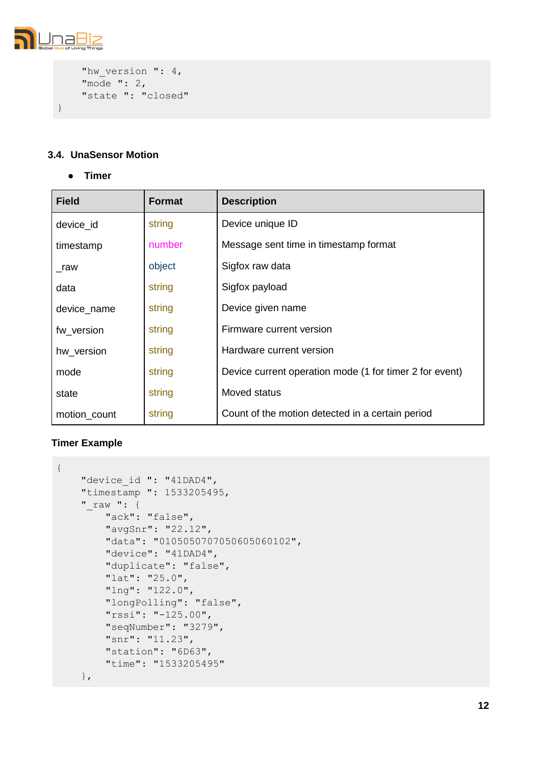

```
"hw_version ": 4,
    "mode ": 2,
    "state ": "closed"
}
```
# **3.4. UnaSensor Motion**

**● Timer**

| <b>Field</b> | Format | <b>Description</b>                                      |
|--------------|--------|---------------------------------------------------------|
| device_id    | string | Device unique ID                                        |
| timestamp    | number | Message sent time in timestamp format                   |
| $\_raw$      | object | Sigfox raw data                                         |
| data         | string | Sigfox payload                                          |
| device_name  | string | Device given name                                       |
| fw version   | string | Firmware current version                                |
| hw_version   | string | Hardware current version                                |
| mode         | string | Device current operation mode (1 for timer 2 for event) |
| state        | string | Moved status                                            |
| motion_count | string | Count of the motion detected in a certain period        |

```
{
   "device id ": "41DAD4",
    "timestamp ": 1533205495, 
    "_raw ": {
        "ack": "false",
        "avgSnr": "22.12",
        "data": "0105050707050605060102",
        "device": "41DAD4", 
        "duplicate": "false", 
        "lat": "25.0",
        "lng": "122.0",
        "longPolling": "false", 
        "rssi": "-125.00",
        "seqNumber": "3279",
        "snr": "11.23",
        "station": "6D63", 
        "time": "1533205495"
    },
```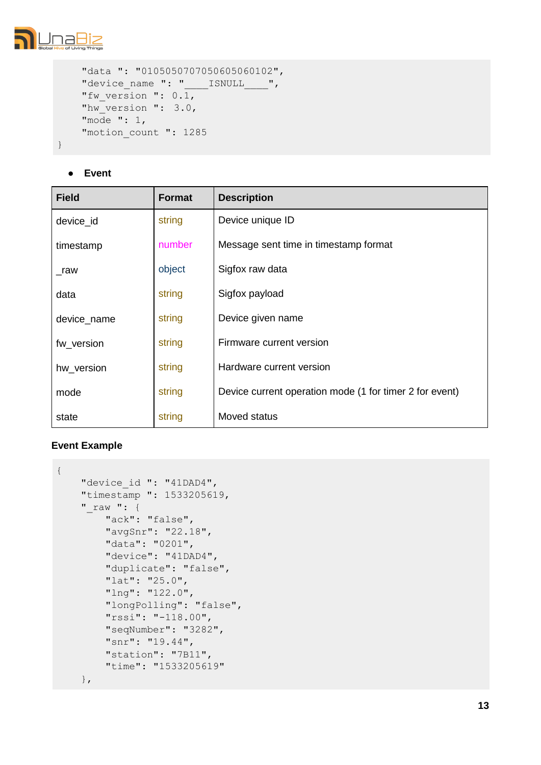

```
"data ": "0105050707050605060102",
"device name ": " _______ ISNULL____",
"fw version ": 0.1,
"hw version ": 3.0,
"mode ": 1,
"motion_count ": 1285
```
# **● Event**

| <b>Field</b> | Format | <b>Description</b>                                      |
|--------------|--------|---------------------------------------------------------|
| device id    | string | Device unique ID                                        |
| timestamp    | number | Message sent time in timestamp format                   |
| raw          | object | Sigfox raw data                                         |
| data         | string | Sigfox payload                                          |
| device_name  | string | Device given name                                       |
| fw_version   | string | Firmware current version                                |
| hw_version   | string | Hardware current version                                |
| mode         | string | Device current operation mode (1 for timer 2 for event) |
| state        | string | Moved status                                            |

```
{
    "device id ": "41DAD4",
    "timestamp ": 1533205619, 
    "raw ": {
        "ack": "false",
        "avgSnr": "22.18",
        "data": "0201",
        "device": "41DAD4", 
        "duplicate": "false", 
        "lat": "25.0",
        "lng": "122.0",
        "longPolling": "false", 
        "rssi": "-118.00",
        "seqNumber": "3282",
        "snr": "19.44",
        "station": "7B11", 
        "time": "1533205619"
    },
```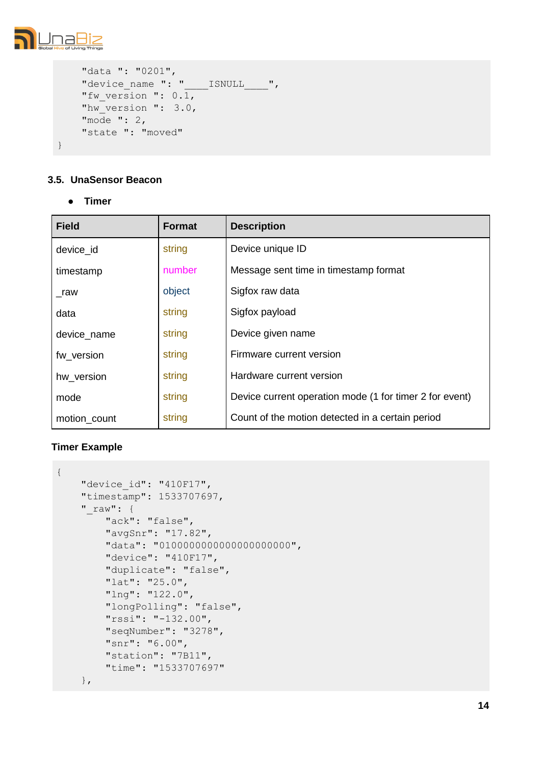

```
"data ": "0201",
"device name ": "____ISNULL____",
"fw version ": 0.1,
"hw version ": 3.0,
"mode ": 2,
"state ": "moved"
```
# **3.5. UnaSensor Beacon**

**● Timer**

| <b>Field</b> | Format | <b>Description</b>                                      |
|--------------|--------|---------------------------------------------------------|
| device_id    | string | Device unique ID                                        |
| timestamp    | number | Message sent time in timestamp format                   |
| raw          | object | Sigfox raw data                                         |
| data         | string | Sigfox payload                                          |
| device_name  | string | Device given name                                       |
| fw version   | string | Firmware current version                                |
| hw version   | string | Hardware current version                                |
| mode         | string | Device current operation mode (1 for timer 2 for event) |
| motion_count | string | Count of the motion detected in a certain period        |

```
{
    "device_id": "410F17", 
   "timestamp": 1533707697, 
    "raw": {
        "ack": "false",
        "avgSnr": "17.82",
        "data": "010000000000000000000000",
        "device": "410F17", 
        "duplicate": "false", 
        "lat": "25.0",
        "lng": "122.0",
        "longPolling": "false", 
        "rssi": "-132.00",
        "seqNumber": "3278",
        "snr": "6.00",
        "station": "7B11", 
        "time": "1533707697"
    },
```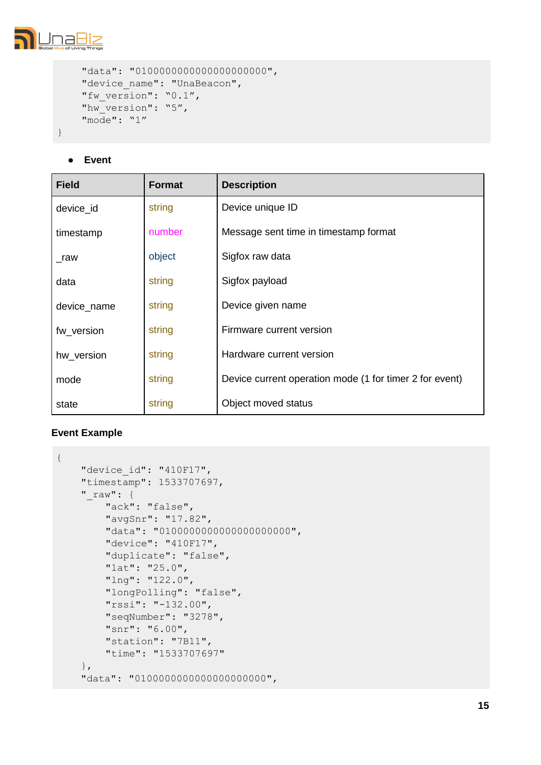

```
"data": "0100000000000000000000000",
"device name": "UnaBeacon",
"fw_version": "0.1",
"hw_version": "5",
"mode": "1"
```
**● Event**

| <b>Field</b> | Format | <b>Description</b>                                      |
|--------------|--------|---------------------------------------------------------|
| device id    | string | Device unique ID                                        |
| timestamp    | number | Message sent time in timestamp format                   |
| raw          | object | Sigfox raw data                                         |
| data         | string | Sigfox payload                                          |
| device_name  | string | Device given name                                       |
| fw version   | string | Firmware current version                                |
| hw_version   | string | Hardware current version                                |
| mode         | string | Device current operation mode (1 for timer 2 for event) |
| state        | string | Object moved status                                     |

```
{
    "device_id": "410F17", 
    "timestamp": 1533707697, 
    "_raw": {
        "ack": "false",
        "avgSnr": "17.82",
        "data": "0100000000000000000000000",
        "device": "410F17", 
        "duplicate": "false", 
        "lat": "25.0",
        "lng": "122.0",
        "longPolling": "false", 
        "rssi": "-132.00",
        "seqNumber": "3278",
        "snr": "6.00",
        "station": "7B11", 
        "time": "1533707697"
    },
    "data": "0100000000000000000000000",
```